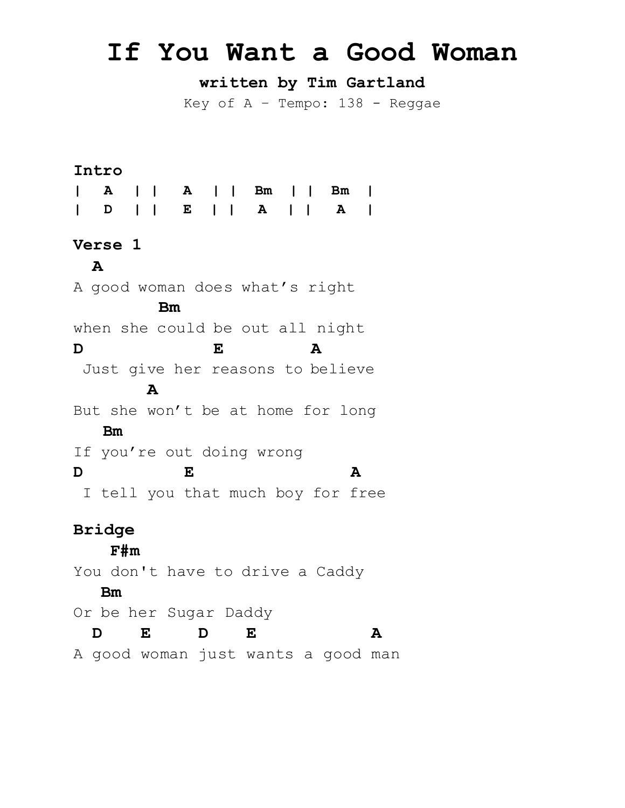## **If You Want a Good Woman**

**written by Tim Gartland**

Key of  $A -$  Tempo: 138 - Reggae

## **Intro <sup>|</sup> <sup>A</sup> | | <sup>A</sup> | | Bm | | Bm | <sup>|</sup> <sup>D</sup> | | <sup>E</sup> | | <sup>A</sup> | | <sup>A</sup> <sup>|</sup> Verse 1 A**  A good woman does what's right **Bm** when she could be out all night **D E A** Just give her reasons to believe  **A** But she won't be at home for long  **Bm** If you're out doing wrong **D E A** I tell you that much boy for free **Bridge F#m**  You don't have to drive a Caddy  **Bm** Or be her Sugar Daddy **D E D E A** A good woman just wants a good man